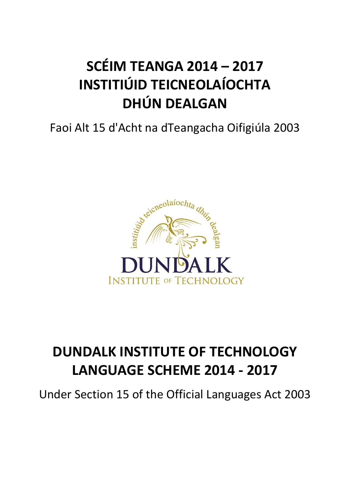# **SCÉIM TEANGA 2014 – 2017 INSTITIÚID TEICNEOLAÍOCHTA DHÚN DEALGAN**

# Faoi Alt 15 d'Acht na dTeangacha Oifigiúla 2003



# **DUNDALK INSTITUTE OF TECHNOLOGY LANGUAGE SCHEME 2014 - 2017**

Under Section 15 of the Official Languages Act 2003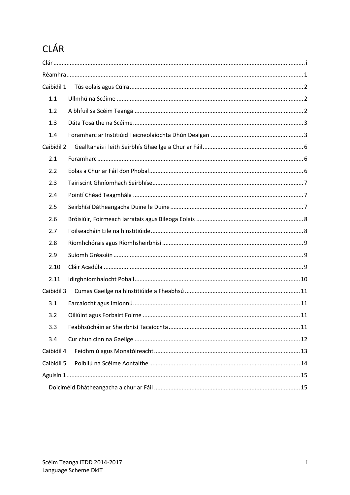## <span id="page-1-0"></span>CLÁR

| Caibidil 1 |  |  |  |  |
|------------|--|--|--|--|
| 1.1        |  |  |  |  |
| 1.2        |  |  |  |  |
| 1.3        |  |  |  |  |
| 1.4        |  |  |  |  |
| Caibidil 2 |  |  |  |  |
| 2.1        |  |  |  |  |
| 2.2        |  |  |  |  |
| 2.3        |  |  |  |  |
| 2.4        |  |  |  |  |
| 2.5        |  |  |  |  |
| 2.6        |  |  |  |  |
| 2.7        |  |  |  |  |
| 2.8        |  |  |  |  |
| 2.9        |  |  |  |  |
| 2.10       |  |  |  |  |
| 2.11       |  |  |  |  |
| Caibidil 3 |  |  |  |  |
| 3.1        |  |  |  |  |
| 3.2        |  |  |  |  |
| 3.3        |  |  |  |  |
| 3.4        |  |  |  |  |
| Caibidil 4 |  |  |  |  |
| Caibidil 5 |  |  |  |  |
|            |  |  |  |  |
|            |  |  |  |  |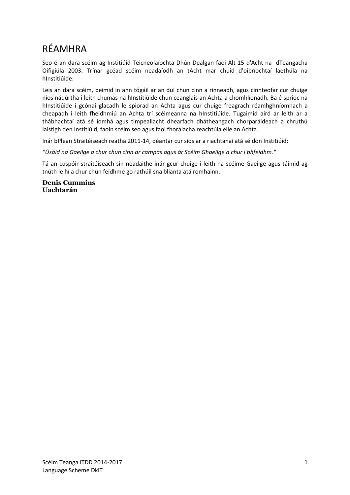### <span id="page-2-0"></span>RÉAMHRA

Seo é an dara scéim ag Institiúid Teicneolaíochta Dhún Dealgan faoi Alt 15 d'Acht na dTeangacha Oifigiúla 2003. Trínar gcéad scéim neadaíodh an tAcht mar chuid d'oibríochtaí laethúla na hInstitiúide.

Leis an dara scéim, beimid in ann tógáil ar an dul chun cinn a rinneadh, agus cinnteofar cur chuige níos nádúrtha i leith chumas na hInstitiúide chun ceanglais an Achta a chomhlíonadh. Ba é sprioc na hInstitiúide i gcónaí glacadh le spiorad an Achta agus cur chuige freagrach réamhghníomhach a cheapadh i leith fheidhmiú an Achta trí scéimeanna na hInstitiúide. Tugaimid aird ar leith ar a thábhachtaí atá sé íomhá agus timpeallacht dhearfach dhátheangach chorparáideach a chruthú laistigh den Institiúid, faoin scéim seo agus faoi fhorálacha reachtúla eile an Achta.

Inár bPlean Straitéiseach reatha 2011-14, déantar cur síos ar a riachtanaí atá sé don Institiúid:

*"Úsáid na Gaeilge a chur chun cinn ar campas agus ár Scéim Ghaeilge a chur i bhfeidhm."* 

Tá an cuspóir straitéiseach sin neadaithe inár gcur chuige i leith na scéime Gaeilge agus táimid ag tnúth le hí a chur chun feidhme go rathúil sna blianta atá romhainn.

**Denis Cummins Uachtarán**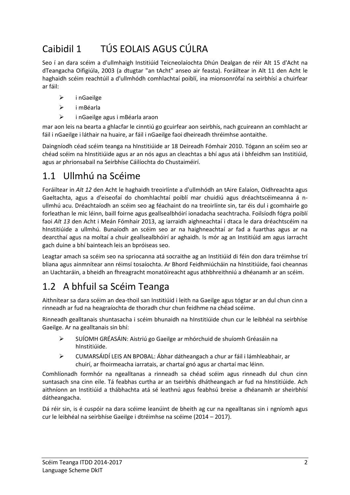### <span id="page-3-0"></span>Caibidil 1 TÚS EOLAIS AGUS CÚLRA

Seo í an dara scéim a d'ullmhaigh Institiúid Teicneolaíochta Dhún Dealgan de réir Alt 15 d'Acht na dTeangacha Oifigiúla, 2003 (a dtugtar "an tAcht" anseo air feasta). Foráiltear in Alt 11 den Acht le haghaidh scéim reachtúil a d'ullmhódh comhlachtaí poiblí, ina mionsonrófaí na seirbhísí a chuirfear ar fáil:

- $\triangleright$  inGaeilge
- i mBéarla
- i nGaeilge agus i mBéarla araon

mar aon leis na bearta a ghlacfar le cinntiú go gcuirfear aon seirbhís, nach gcuireann an comhlacht ar fáil i nGaeilge i láthair na huaire, ar fáil i nGaeilge faoi dheireadh thréimhse aontaithe.

Daingníodh céad scéim teanga na hInstitiúide ar 18 Deireadh Fómhair 2010. Tógann an scéim seo ar chéad scéim na hInstitiúide agus ar an nós agus an cleachtas a bhí agus atá i bhfeidhm san Institiúid, agus ar phrionsabail na Seirbhíse Cáilíochta do Chustaiméirí.

### <span id="page-3-1"></span>1.1 Ullmhú na Scéime

Foráiltear in *Alt 12* den Acht le haghaidh treoirlínte a d'ullmhódh an tAire Ealaíon, Oidhreachta agus Gaeltachta, agus a d'eiseofaí do chomhlachtaí poiblí mar chuidiú agus dréachtscéimeanna á nullmhú acu. Dréachtaíodh an scéim seo ag féachaint do na treoirlínte sin, tar éis dul i gcomhairle go forleathan le mic léinn, baill foirne agus geallsealbhóirí ionadacha seachtracha. Foilsíodh fógra poiblí faoi *Alt 13* den Acht i Meán Fómhair 2013, ag iarraidh aighneachtaí i dtaca le dara dréachtscéim na hInstitiúide a ullmhú. Bunaíodh an scéim seo ar na haighneachtaí ar fad a fuarthas agus ar na dearcthaí agus na moltaí a chuir geallsealbhóirí ar aghaidh. Is mór ag an Institiúid am agus iarracht gach duine a bhí bainteach leis an bpróiseas seo.

Leagtar amach sa scéim seo na spriocanna atá socraithe ag an Institiúid di féin don dara tréimhse trí bliana agus ainmnítear ann réimsí tosaíochta. Ar Bhord Feidhmiúcháin na hInstitiúide, faoi cheannas an Uachtaráin, a bheidh an fhreagracht monatóireacht agus athbhreithniú a dhéanamh ar an scéim.

### <span id="page-3-2"></span>1.2 A bhfuil sa Scéim Teanga

Aithnítear sa dara scéim an dea-thoil san Institiúid i leith na Gaeilge agus tógtar ar an dul chun cinn a rinneadh ar fud na heagraíochta de thoradh chur chun feidhme na chéad scéime.

Rinneadh gealltanais shuntasacha i scéim bhunaidh na hInstitiúide chun cur le leibhéal na seirbhíse Gaeilge. Ar na gealltanais sin bhí:

- SUÍOMH GRÉASÁIN: Aistriú go Gaeilge ar mhórchuid de shuíomh Gréasáin na hInstitiúide.
- CUMARSÁIDÍ LEIS AN BPOBAL: Ábhar dátheangach a chur ar fáil i lámhleabhair, ar chuirí, ar fhoirmeacha iarratais, ar chartaí gnó agus ar chartaí mac léinn.

Comhlíonadh formhór na ngealltanas a rinneadh sa chéad scéim agus rinneadh dul chun cinn suntasach sna cinn eile. Tá feabhas curtha ar an tseirbhís dhátheangach ar fud na hInstitiúide. Ach aithníonn an Institiúid a thábhachta atá sé leathnú agus feabhsú breise a dhéanamh ar sheirbhísí dátheangacha.

Dá réir sin, is é cuspóir na dara scéime leanúint de bheith ag cur na ngealltanas sin i ngníomh agus cur le leibhéal na seirbhíse Gaeilge i dtréimhse na scéime (2014 – 2017).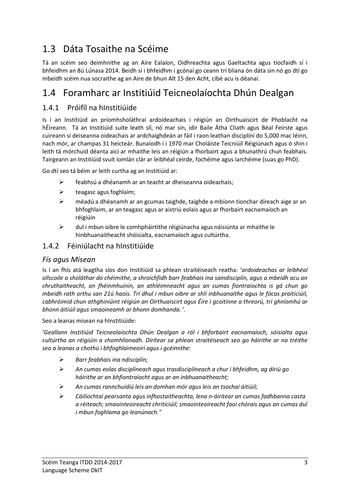### <span id="page-4-0"></span>1.3 Dáta Tosaithe na Scéime

Tá an scéim seo deimhnithe ag an Aire Ealaíon, Oidhreachta agus Gaeltachta agus tiocfaidh sí i bhfeidhm an 8ú Lúnasa 2014. Beidh sí i bhfeidhm i gcónaí go ceann trí bliana ón dáta sin nó go dtí go mbeidh scéim nua socraithe ag an Aire de bhun Alt 15 den Acht, cibé acu is déanaí.

### <span id="page-4-1"></span>1.4 Foramharc ar Institiúid Teicneolaíochta Dhún Dealgan

#### 1.4.1 Próifíl na hInstitiúide

Is í an Institiúid an príomhsholáthraí ardoideachais i réigiún an Oirthuaiscirt de Phoblacht na hÉireann. Tá an Institiúid suite leath slí, nó mar sin, idir Baile Átha Cliath agus Béal Feirste agus cuireann sí deiseanna oideachais ar ardchaighdeán ar fáil i raon leathan disciplíní do 5,000 mac léinn, nach mór, ar champas 31 heicteár. Bunaíodh í i 1970 mar Choláiste Teicniúil Réigiúnach agus ó shin i leith tá mórchuid déanta aici ar mhaithe leis an réigiún a fhorbairt agus a bhunathrú chun feabhais. Tairgeann an Institiúid svuít iomlán clár ar leibhéal ceirde, fochéime agus iarchéime (suas go PhD).

Go dtí seo tá béim ar leith curtha ag an Institiúid ar:

- feabhsú a dhéanamh ar an teacht ar dheiseanna oideachais;
- $\triangleright$  teagasc agus foghlaim;
- méadú a dhéanamh ar an gcumas taighde, taighde a mbíonn tionchar díreach aige ar an bhfoghlaim, ar an teagasc agus ar aistriú eolais agus ar fhorbairt eacnamaíoch an réigiúin
- $\triangleright$  dul i mbun oibre le comhpháirtithe réigiúnacha agus náisiúnta ar mhaithe le hinbhuanaitheacht shóisialta, eacnamaíoch agus cultúrtha.

#### 1.4.2 Féiniúlacht na hInstitiúide

#### *Fís agus Misean*

Is í an fhís atá leagtha síos don Institiúid sa phlean straitéiseach reatha: '*ardoideachas ar leibhéal ollscoile a sholáthar do chéimithe, a shroichfidh barr feabhais ina saindisciplín, agus a mbeidh acu an chruthaitheacht, an fhéinmhuinín, an athléimneacht agus an cumas fiontraíochta is gá chun go mbeidh rath orthu san 21ú haois. Trí dhul i mbun oibre ar shlí inbhuanaithe agus le fócas praiticiúil, cabhróimid chun athghiniúint réigiún an Oirthuaiscirt agus Éire i gcoitinne a threorú, trí ghníomhú ar bhonn áitiúil agus smaoineamh ar bhonn domhanda.* '.

Seo a leanas misean na hInstitiúide:

'*Geallann Institiúid Teicneolaíochta Dhún Dealgan a ról i bhforbairt eacnamaíoch, sóisialta agus cultúrtha an réigiúin a chomhlíonadh. Dírítear sa phlean straitéiseach seo go háirithe ar na tréithe seo a leanas a chothú i bhfoghlaimeoirí agus i gcéimithe:*

- *Barr feabhais ina ndisciplín;*
- *An cumas eolas disciplíneach agus trasdisciplíneach a chur i bhfeidhm, ag díriú go háirithe ar an bhfiontraíocht agus ar an inbhuanaitheacht;*
- *An cumas rannchuidiú leis an domhan mór agus leis an tsochaí áitiúil;*
- *Cáilíochtaí pearsanta agus infhostaitheachta, lena n-áirítear an cumas fadhbanna casta a réiteach; smaointeoireacht chriticiúil; smaointeoireacht faoi chórais agus an cumas dul i mbun foghlama go leanúnach."*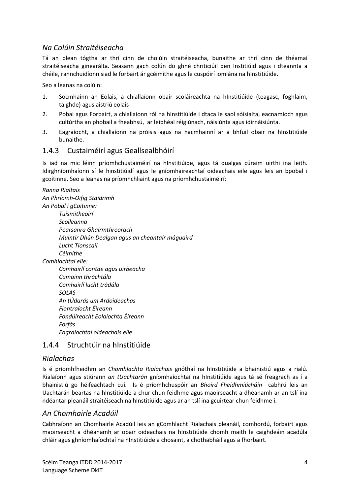#### *Na Colúin Straitéiseacha*

Tá an plean tógtha ar thrí cinn de cholúin straitéiseacha, bunaithe ar thrí cinn de théamaí straitéiseacha ginearálta. Seasann gach colún do ghné chriticiúil den Institiúid agus i dteannta a chéile, rannchuidíonn siad le forbairt ár gcéimithe agus le cuspóirí iomlána na hInstitiúide.

Seo a leanas na colúin:

- 1. Sócmhainn an Eolais, a chiallaíonn obair scoláireachta na hInstitiúide (teagasc, foghlaim, taighde) agus aistriú eolais
- 2. Pobal agus Forbairt, a chiallaíonn ról na hInstitiúide i dtaca le saol sóisialta, eacnamíoch agus cultúrtha an phobail a fheabhsú, ar leibhéal réigiúnach, náisiúnta agus idirnáisiúnta.
- 3. Eagraíocht, a chiallaíonn na próisis agus na hacmhainní ar a bhfuil obair na hInstitiúide bunaithe.

#### 1.4.3 Custaiméirí agus Geallsealbhóirí

Is iad na mic léinn príomhchustaiméirí na hInstitiúide, agus tá dualgas cúraim uirthi ina leith. Idirghníomhaíonn sí le hinstitiúidí agus le gníomhaireachtaí oideachais eile agus leis an bpobal i gcoitinne. Seo a leanas na príomhchliaint agus na príomhchustaiméirí:

*Ranna Rialtais An Phríomh-Oifig Staidrimh An Pobal i gCoitinne: Tuismitheoirí Scoileanna Pearsanra Ghairmthreorach Muintir Dhún Dealgan agus an cheantair máguaird Lucht Tionscail Céimithe Comhlachtaí eile: Comhairlí contae agus uirbeacha Cumainn thráchtála Comhairlí lucht trádála SOLAS An tÚdarás um Ardoideachas Fiontraíocht Éireann Fondúireacht Eolaíochta Éireann Forfás Eagraíochtaí oideachais eile*

#### 1.4.4 Struchtúir na hInstitiúide

#### *Rialachas*

Is é príomhfheidhm an *Chomhlachta Rialachais* gnóthaí na hInstitiúide a bhainistiú agus a rialú. Rialaíonn agus stiúrann *an tUachtarán* gníomhaíochtaí na hInstitiúide agus tá sé freagrach as í a bhainistiú go héifeachtach cuí. Is é príomhchuspóir an *Bhoird Fheidhmiúcháin* cabhrú leis an Uachtarán beartas na hInstitiúide a chur chun feidhme agus maoirseacht a dhéanamh ar an tslí ina ndéantar pleanáil straitéiseach na hInstitiúide agus ar an tslí ina gcuirtear chun feidhme í.

#### *An Chomhairle Acadúil*

Cabhraíonn an Chomhairle Acadúil leis an gComhlacht Rialachais pleanáil, comhordú, forbairt agus maoirseacht a dhéanamh ar obair oideachais na hInstitiúide chomh maith le caighdeáin acadúla chláir agus ghníomhaíochtaí na hInstitiúide a chosaint, a chothabháil agus a fhorbairt.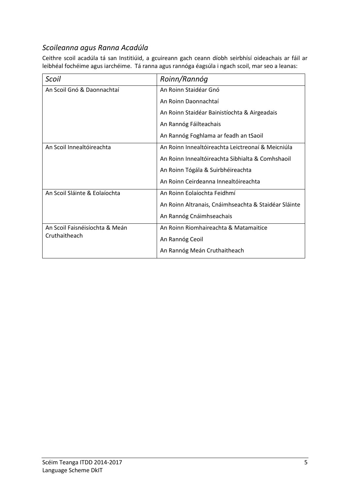#### *Scoileanna agus Ranna Acadúla*

Ceithre scoil acadúla tá san Institiúid, a gcuireann gach ceann díobh seirbhísí oideachais ar fáil ar leibhéal fochéime agus iarchéime. Tá ranna agus rannóga éagsúla i ngach scoil, mar seo a leanas:

| Scoil                          | Roinn/Rannóg                                         |
|--------------------------------|------------------------------------------------------|
| An Scoil Gnó & Daonnachtaí     | An Roinn Staidéar Gnó                                |
|                                | An Roinn Daonnachtaí                                 |
|                                | An Roinn Staidéar Bainistíochta & Airgeadais         |
|                                | An Rannóg Fáilteachais                               |
|                                | An Rannóg Foghlama ar feadh an tSaoil                |
| An Scoil Innealtóireachta      | An Roinn Innealtóireachta Leictreonaí & Meicniúla    |
|                                | An Roinn Innealtóireachta Sibhialta & Comhshaoil     |
|                                | An Roinn Tógála & Suirbhéireachta                    |
|                                | An Roinn Ceirdeanna Innealtóireachta                 |
| An Scoil Sláinte & Eolaíochta  | An Roinn Eolaíochta Feidhmí                          |
|                                | An Roinn Altranais, Cnáimhseachta & Staidéar Sláinte |
|                                | An Rannóg Cnáimhseachais                             |
| An Scoil Faisnéisíochta & Meán | An Roinn Riomhaireachta & Matamaitice                |
| Cruthaitheach                  | An Rannóg Ceoil                                      |
|                                | An Rannóg Meán Cruthaitheach                         |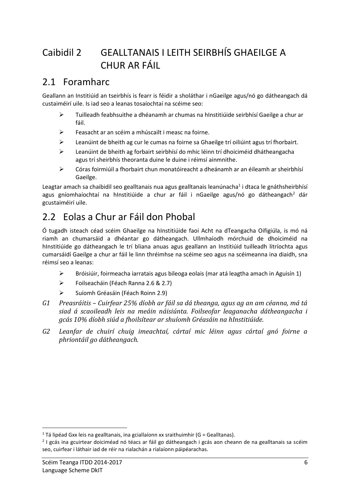### <span id="page-7-0"></span>Caibidil 2 GEALLTANAIS I LEITH SEIRBHÍS GHAEILGE A CHUR AR FÁIL

### <span id="page-7-1"></span>2.1 Foramharc

Geallann an Institiúid an tseirbhís is fearr is féidir a sholáthar i nGaeilge agus/nó go dátheangach dá custaiméirí uile. Is iad seo a leanas tosaíochtaí na scéime seo:

- Tuilleadh feabhsuithe a dhéanamh ar chumas na hInstitiúide seirbhísí Gaeilge a chur ar fáil.
- Feasacht ar an scéim a mhúscailt i measc na foirne.
- $\triangleright$  Leanúint de bheith ag cur le cumas na foirne sa Ghaeilge trí oiliúint agus trí fhorbairt.
- Leanúint de bheith ag forbairt seirbhísí do mhic léinn trí dhoiciméid dhátheangacha agus trí sheirbhís theoranta duine le duine i réimsí ainmnithe.
- $\triangleright$  Córas foirmiúil a fhorbairt chun monatóireacht a dheánamh ar an éileamh ar sheirbhísí Gaeilge.

Leagtar amach sa chaibidil seo gealltanais nua agus gealltanais leanúnacha<sup>1</sup> i dtaca le gnáthsheirbhísí agus gníomhaíochtaí na hInstitiúide a chur ar fáil i nGaeilge agus/nó go dátheangach<sup>2</sup> dár gcustaiméirí uile.

### <span id="page-7-2"></span>2.2 Eolas a Chur ar Fáil don Phobal

Ó tugadh isteach céad scéim Ghaeilge na hInstitiúide faoi Acht na dTeangacha Oifigiúla, is mó ná riamh an chumarsáid a dhéantar go dátheangach. Ullmhaíodh mórchuid de dhoiciméid na hInstitiúide go dátheangach le trí bliana anuas agus geallann an Institiúid tuilleadh litríochta agus cumarsáidí Gaeilge a chur ar fáil le linn thréimhse na scéime seo agus na scéimeanna ina diaidh, sna réimsí seo a leanas:

- $\triangleright$  Bróisiúir, foirmeacha iarratais agus bileoga eolais (mar atá leagtha amach in Aguisín 1)
- Foilseacháin (Féach Rann[a 2.6](#page-9-0) & [2.7\)](#page-9-1)
- Suíomh Gréasáin (Féach Roinn [2.9\)](#page-10-1)
- *G1 Preasráitis – Cuirfear 25% díobh ar fáil sa dá theanga, agus ag an am céanna, má tá siad á scaoileadh leis na meáin náisiúnta. Foilseofar leaganacha dátheangacha i gcás 10% díobh siúd a fhoilsítear ar shuíomh Gréasáin na hInstitiúide.*
- *G2 Leanfar de chuirí chuig imeachtaí, cártaí mic léinn agus cártaí gnó foirne a phriontáil go dátheangach.*

**.** 

 $1$  Tá lipéad Gxx leis na gealltanais, ina gciallaíonn xx sraithuimhir (G = Gealltanas).

<sup>&</sup>lt;sup>2</sup> I gcás ina gcuirtear doiciméad nó téacs ar fáil go dátheangach i gcás aon cheann de na gealltanais sa scéim seo, cuirfear i láthair iad de réir na rialachán a rialaíonn páipéarachas.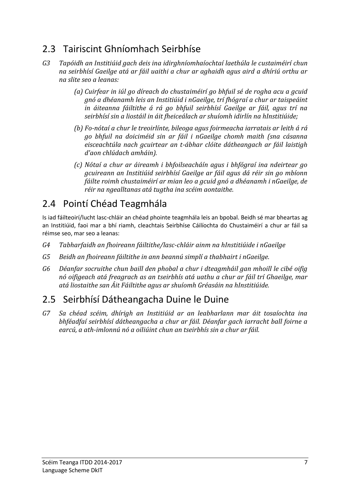### <span id="page-8-0"></span>2.3 Tairiscint Ghníomhach Seirbhíse

- *G3 Tapóidh an Institiúid gach deis ina idirghníomhaíochtaí laethúla le custaiméirí chun na seirbhísí Gaeilge atá ar fáil uaithi a chur ar aghaidh agus aird a dhíriú orthu ar na slite seo a leanas:*
	- *(a) Cuirfear in iúl go díreach do chustaiméirí go bhfuil sé de rogha acu a gcuid gnó a dhéanamh leis an Institiúid i nGaeilge, trí fhógraí a chur ar taispeáint in áiteanna fáiltithe á rá go bhfuil seirbhísí Gaeilge ar fáil, agus trí na seirbhísí sin a liostáil in áit fheiceálach ar shuíomh idirlín na hInstitiúide;*
	- *(b) Fo-nótaí a chur le treoirlínte, bileoga agus foirmeacha iarratais ar leith á rá go bhfuil na doiciméid sin ar fáil i nGaeilge chomh maith (sna cásanna eisceachtúla nach gcuirtear an t-ábhar clóite dátheangach ar fáil laistigh d'aon chlúdach amháin).*
	- *(c) Nótaí a chur ar áireamh i bhfoilseacháín agus i bhfógraí ina ndeirtear go gcuireann an Institiúid seirbhísí Gaeilge ar fáil agus dá réir sin go mbíonn fáilte roimh chustaiméirí ar mian leo a gcuid gnó a dhéanamh i nGaeilge, de réir na ngealltanas atá tugtha ina scéim aontaithe.*

### <span id="page-8-1"></span>2.4 Pointí Chéad Teagmhála

Is iad fáilteoirí/lucht lasc-chláir an chéad phointe teagmhála leis an bpobal. Beidh sé mar bheartas ag an Institiúid, faoi mar a bhí riamh, cleachtais Seirbhíse Cáilíochta do Chustaiméirí a chur ar fáil sa réimse seo, mar seo a leanas:

- *G4 Tabharfaidh an fhoireann fáiltithe/lasc-chláir ainm na hInstitiúide i nGaeilge*
- *G5 Beidh an fhoireann fáiltithe in ann beannú simplí a thabhairt i nGaeilge.*
- *G6 Déanfar socruithe chun baill den phobal a chur i dteagmháil gan mhoill le cibé oifig nó oifigeach atá freagrach as an tseirbhís atá uathu a chur ar fáil trí Ghaeilge, mar atá liostaithe san Áit Fáiltithe agus ar shuíomh Gréasáin na hInstitiúide.*

### <span id="page-8-2"></span>2.5 Seirbhísí Dátheangacha Duine le Duine

*G7 Sa chéad scéim, dhírigh an Institiúid ar an leabharlann mar áit tosaíochta ina bhféadfaí seirbhísí dátheangacha a chur ar fáil. Déanfar gach iarracht ball foirne a earcú, a ath-imlonnú nó a oiliúint chun an tseirbhís sin a chur ar fáil.*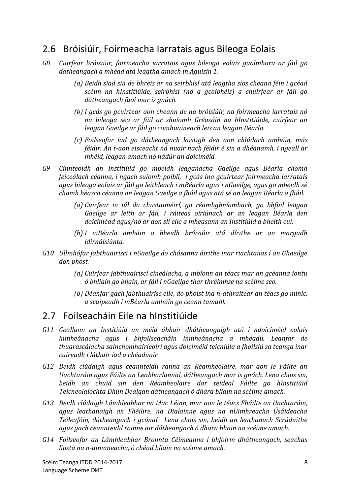#### <span id="page-9-0"></span>2.6 Bróisiúir, Foirmeacha Iarratais agus Bileoga Eolais

- *G8 Cuirfear bróisiúir, foirmeacha iarratais agus bileoga eolais gaolmhara ar fáil go dátheangach a mhéad atá leagtha amach in Aguisín 1.* 
	- *(a) Beidh siad sin de bhreis ar na seirbhísí atá leagtha síos cheana féin i gcéad scéim na hInstitiúide, seirbhísí (nó a gcoibhéis) a chuirfear ar fáil go dátheangach faoi mar is gnách.*
	- *(b) I gcás go gcuirtear aon cheann de na bróisiúir, na foirmeacha iarratais nó na bileoga seo ar fáil ar shuíomh Gréasáin na hInstitiúide, cuirfear an leagan Gaeilge ar fáil go comhuaineach leis an leagan Béarla.*
	- *(c) Foilseofar iad go dátheangach laistigh den aon chlúdach amháín, más féidir. An t-aon eisceacht ná nuair nach féidir é sin a dhéanamh, i ngeall ar mhéid, leagan amach nó nádúr an doiciméid.*
- *G9 Cinnteoidh an Institiúid go mbeidh leaganacha Gaeilge agus Béarla chomh feiceálach céanna, i ngach suíomh poiblí, i gcás ina gcuirtear foirmeacha iarratais agus bileoga eolais ar fáil go leithleach i mBéarla agus i nGaeilge, agus go mbeidh sé chomh héasca céanna an leagan Gaeilge a fháil agus atá sé an leagan Béarla a fháil.* 
	- *(a) Cuirfear in iúl do chustaiméirí, go réamhghníomhach, go bhfuil leagan Gaeilge ar leith ar fáil, i ráiteas oiriúnach ar an leagan Béarla den doiciméad agus/nó ar aon slí eile a mheasann an Institiúid a bheith cuí.*
	- *(b) I mBéarla amháin a bheidh bróisiúir atá dírithe ar an margadh idirnáisiúnta.*
- *G10 Ullmhófar jabthuairiscí i nGaeilge do chásanna áirithe inar riachtanas í an Ghaeilge don phost.* 
	- *(a) Cuirfear jabthuairiscí cineálacha, a mbíonn an téacs mar an gcéanna iontu ó bhliain go bliain, ar fáil i nGaeilge thar thréimhse na scéime seo.*
	- *(b) Déanfar gach jabthuairisc eile, do phoist ina n-athraítear an téacs go minic, a scaipeadh i mBéarla amháin go ceann tamaill.*

#### <span id="page-9-1"></span>2.7 Foilseacháin Eile na hInstitiúide

- *G11 Geallann an Institiúid an méid ábhair dhátheangaigh atá i ndoiciméid eolais inmheánacha agus i bhfoilseacháin inmheánacha a mhéadú. Leanfar de thuarascálacha sainchomhairleoirí agus doiciméid teicniúla a fhoilsiú sa teanga inar cuireadh i láthair iad a chéaduair.*
- *G12 Beidh clúdaigh agus ceannteidil ranna an Réamheolaire, mar aon le Fáilte an Uachtaráin agus Fáilte an Leabharlannaí, dátheangach mar is gnách. Lena chois sin, beidh an chuid sin den Réamheolaire dar teideal Fáilte go hInstitiúid Teicneolaíochta Dhún Dealgan dátheangach ó dhara bliain na scéime amach.*
- *G13 Beidh clúdaigh Lámhleabhar na Mac Léinn, mar aon le téacs Fháilte an Uachtaráin, agus leathanaigh an Fhéilire, na Dialainne agus na nUimhreacha Úsáideacha Teileafóin, dátheangach i gcónaí. Lena chois sin, beidh an leathanach Scrúduithe agus gach ceannteidil roinne air dátheangach ó dhara bliain na scéíme amach.*
- *G14 Foilseofar an Lámhleabhar Bronnta Céimeanna i bhfoirm dhátheangach, seachas liosta na n-ainmneacha, ó chéad bliain na scéime amach.*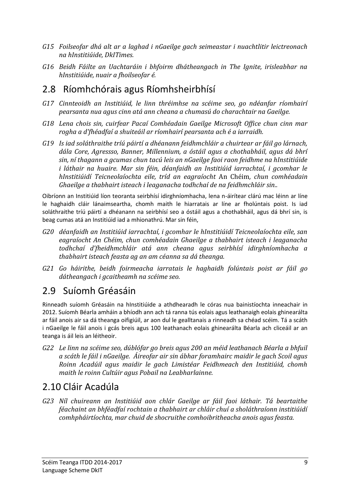- *G15 Foilseofar dhá alt ar a laghad i nGaeilge gach seimeastar i nuachtlitir leictreonach na hInstitiúide, DkITimes.*
- *G16 Beidh Fáilte an Uachtaráin i bhfoirm dhátheangach in The Ignite, irisleabhar na hInstitiúide, nuair a fhoilseofar é.*

#### <span id="page-10-0"></span>2.8 Ríomhchórais agus Ríomhsheirbhísí

- *G17 Cinnteoidh an Institiúid, le linn thréimhse na scéime seo, go ndéanfar ríomhairí pearsanta nua agus cinn atá ann cheana a chumasú do charachtair na Gaeilge.*
- *G18 Lena chois sin, cuirfear Pacaí Comhéadain Gaeilge Microsoft Office chun cinn mar rogha a d'fhéadfaí a shuiteáil ar ríomhairí pearsanta ach é a iarraidh.*
- *G19 Is iad soláthraithe tríú páirtí a dhéanann feidhmchláir a chuirtear ar fáil go lárnach, dála Core, Agressso, Banner, Millennium, a óstáil agus a chothabháil, agus dá bhrí sin, ní thagann a gcumas chun tacú leis an nGaeilge faoi raon feidhme na hInstitiúide i láthair na huaire. Mar sin féin, déanfaidh an Institiúid iarrachtaí, i gcomhar le hInstitiúidí Teicneolaíochta eile, tríd an eagraíocht* An Chéim*, chun comhéadain Ghaeilge a thabhairt isteach i leaganacha todhchaí de na feidhmchláir sin..*

Oibríonn an Institiúid líon teoranta seirbhísí idirghníomhacha, lena n-áirítear clárú mac léinn ar líne le haghaidh cláir lánaimseartha, chomh maith le hiarratais ar líne ar fholúntais poist. Is iad soláthraithe tríú páirtí a dhéanann na seirbhísí seo a óstáil agus a chothabháil, agus dá bhrí sin, is beag cumas atá an Institiúid iad a mhionathrú. Mar sin féin,

- *G20 déanfaidh an Institiúid iarrachtaí, i gcomhar le hInstitiúidí Teicneolaíochta eile, san eagraíocht An Chéim, chun comhéadain Ghaeilge a thabhairt isteach i leaganacha todhchaí d'fheidhmchláir atá ann cheana agus seirbhísí idirghníomhacha a thabhairt isteach feasta ag an am céanna sa dá theanga.*
- *G21 Go háirithe, beidh foirmeacha iarratais le haghaidh folúntais poist ar fáil go dátheangach i gcaitheamh na scéime seo.*

### <span id="page-10-1"></span>2.9 Suíomh Gréasáin

Rinneadh suíomh Gréasáin na hInstitiúide a athdhearadh le córas nua bainistíochta inneachair in 2012. Suíomh Béarla amháin a bhíodh ann ach tá ranna tús eolais agus leathanaigh eolais ghinearálta ar fáil anois air sa dá theanga oifigiúil, ar aon dul le gealltanais a rinneadh sa chéad scéim. Tá a scáth i nGaeilge le fáil anois i gcás breis agus 100 leathanach eolais ghinearálta Béarla ach cliceáil ar an teanga is áil leis an léitheoir.

*G22 Le linn na scéime seo, dúblófar go breis agus 200 an méid leathanach Béarla a bhfuil a scáth le fáil i nGaeilge. Áireofar air sin ábhar foramhairc maidir le gach Scoil agus Roinn Acadúil agus maidir le gach Limistéar Feidhmeach den Institiúid, chomh maith le roinn Cultúir agus Pobail na Leabharlainne.* 

### <span id="page-10-2"></span>2.10 Cláir Acadúla

*G23 Níl chuireann an Institiúid aon chlár Gaeilge ar fáil faoi láthair. Tá beartaithe féachaint an bhféadfaí rochtain a thabhairt ar chláir chuí a sholáthraíonn institiúidí comhpháirtíochta, mar chuid de shocruithe comhoibritheacha anois agus feasta.*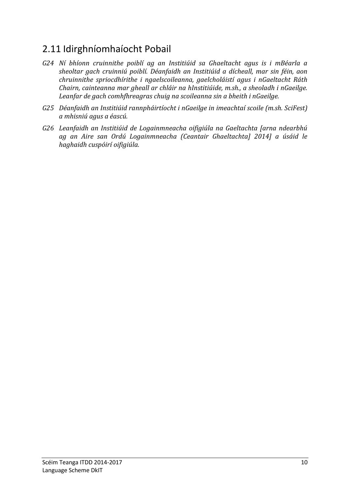### <span id="page-11-0"></span>2.11 Idirghníomhaíocht Pobail

- *G24 Ní bhíonn cruinnithe poiblí ag an Institiúid sa Ghaeltacht agus is i mBéarla a sheoltar gach cruinniú poiblí. Déanfaidh an Institiúid a dícheall, mar sin féin, aon chruinnithe spriocdhírithe i ngaelscoileanna, gaelcholáistí agus i nGaeltacht Ráth Chairn, cainteanna mar gheall ar chláir na hInstitiúide, m.sh., a sheoladh i nGaeilge. Leanfar de gach comhfhreagras chuig na scoileanna sin a bheith i nGaeilge.*
- *G25 Déanfaidh an Institiúid rannpháirtíocht i nGaeilge in imeachtaí scoile (m.sh. SciFest) a mhisniú agus a éascú.*
- *G26 Leanfaidh an Institiúid de Logainmneacha oifigiúla na Gaeltachta [arna ndearbhú ag an Aire san Ordú Logainmneacha (Ceantair Ghaeltachta] 2014] a úsáid le haghaidh cuspóirí oifigiúla.*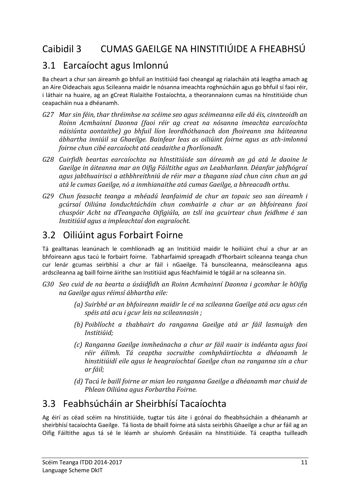### <span id="page-12-1"></span><span id="page-12-0"></span>3.1 Earcaíocht agus Imlonnú

Ba cheart a chur san áireamh go bhfuil an Institiúid faoi cheangal ag rialacháin atá leagtha amach ag an Aire Oideachais agus Scileanna maidir le nósanna imeachta roghnúcháin agus go bhfuil sí faoi réir, i láthair na huaire, ag an gCreat Rialaithe Fostaíochta, a theorannaíonn cumas na hInstitiúide chun ceapacháin nua a dhéanamh.

- *G27 Mar sin féin, thar thréimhse na scéime seo agus scéimeanna eile dá éis, cinnteoidh an Roinn Acmhainní Daonna (faoi réir ag creat na nósanna imeachta earcaíochta náisiúnta aontaithe) go bhfuil líon leordhóthanach don fhoireann sna háiteanna ábhartha inniúil sa Ghaeilge. Bainfear leas as oiliúint foirne agus as ath-imlonnú foirne chun cibé earcaíocht atá ceadaithe a fhorlíonadh.*
- *G28 Cuirfidh beartas earcaíochta na hInstitiúide san áíreamh an gá atá le daoine le Gaeilge in áiteanna mar an Oifig Fáiltithe agus an Leabharlann. Déanfar jabfhógraí agus jabthuairisci a athbhreithniú de réir mar a thagann siad chun cinn chun an gá atá le cumas Gaeilge, nó a inmhianaithe atá cumas Gaeilge, a bhreacadh orthu.*
- *G29 Chun feasacht teanga a mhéadú leanfaimid de chur an topaic seo san áireamh i gcúrsaí Oiliúna Ionduchtúcháin chun comhairle a chur ar an bhfoireann faoi chuspóir Acht na dTeangacha Oifigiúla, an tslí ina gcuirtear chun feidhme é san Institiúid agus a impleachtaí don eagraíocht.*

#### <span id="page-12-2"></span>3.2 Oiliúint agus Forbairt Foirne

Tá gealltanas leanúnach le comhlíonadh ag an Institiúid maidir le hoiliúint chuí a chur ar an bhfoireann agus tacú le forbairt foirne. Tabharfaimid spreagadh d'fhorbairt scileanna teanga chun cur lenár gcumas seirbhísí a chur ar fáil i nGaeilge. Tá bunscileanna, meánscileanna agus ardscileanna ag baill foirne áirithe san Institiúid agus féachfaimid le tógáil ar na scileanna sin.

- *G30 Seo cuid de na bearta a úsáidfidh an Roinn Acmhainní Daonna i gcomhar le hOifig na Gaeilge agus réimsí ábhartha eile:*
	- *(a) Suirbhé ar an bhfoireann maidir le cé na scileanna Gaeilge atá acu agus cén spéis atá acu i gcur leis na scileannasin ;*
	- *(b) Poiblíocht a thabhairt do ranganna Gaeilge atá ar fáil lasmuigh den Institiúid;*
	- *(c) Ranganna Gaeilge inmheánacha a chur ar fáil nuair is indéanta agus faoi réir éilimh. Tá ceaptha socruithe comhpháirtíochta a dhéanamh le hinstitiúidí eile agus le heagraíochtaí Gaeilge chun na ranganna sin a chur ar fáil;*
	- *(d) Tacú le baill foirne ar mian leo ranganna Gaeilge a dhéanamh mar chuid de Phlean Oiliúna agus Forbartha Foirne.*

### <span id="page-12-3"></span>3.3 Feabhsúcháin ar Sheirbhísí Tacaíochta

Ag éirí as céad scéim na hInstitiúide, tugtar tús áite i gcónaí do fheabhsúcháin a dhéanamh ar sheirbhísí tacaíochta Gaeilge. Tá liosta de bhaill foirne atá sásta seirbhís Ghaeilge a chur ar fáil ag an Oifig Fáiltithe agus tá sé le léamh ar shuíomh Gréasáin na hInstitiúide. Tá ceaptha tuilleadh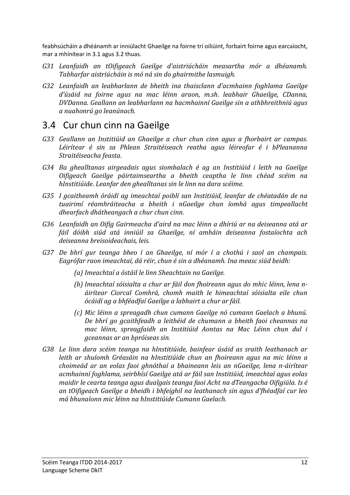feabhsúcháin a dhéánamh ar inniúlacht Ghaeilge na foirne trí oiliúint, forbairt foirne agus earcaíocht, mar a mhínítear in [3.1](#page-12-1) agu[s 3.2](#page-12-2) thuas.

- *G31 Leanfaidh an tOifigeach Gaeilge d'aistriúcháin measartha mór a dhéanamh. Tabharfar aistriúcháin is mó ná sin do ghairmithe lasmuigh.*
- *G32 Leanfaidh an leabharlann de bheith ina thaisclann d'acmhainn foghlama Gaeilge d'úsáid na foirne agus na mac léinn araon, m.sh. leabhair Ghaeilge, CDanna, DVDanna. Geallann an leabharlann na hacmhainní Gaeilge sin a athbhreithniú agus a nuahonrú go leanúnach.*

#### <span id="page-13-0"></span>3.4 Cur chun cinn na Gaeilge

- *G33 Geallann an Institiúid an Ghaeilge a chur chun cinn agus a fhorbairt ar campas. Léirítear é sin sa Phlean Straitéiseach reatha agus léireofar é i bPleananna Straitéiseacha feasta.*
- *G34 Ba ghealltanas airgeadais agus siombalach é ag an Institiúid i leith na Gaeilge Oifigeach Gaeilge páirtaimseartha a bheith ceaptha le linn chéad scéim na hInstitiúide. Leanfar den ghealltanas sin le linn na dara scéime.*
- *G35 I gcaitheamh óráidí ag imeachtaí poiblí san Institiúid, leanfar de chéatadán de na tuairimí réamhráiteacha a bheith i nGaeilge chun íomhá agus timpeallacht dhearfach dhátheangach a chur chun cinn.*
- *G36 Leanfaidh an Oifig Gairmeacha d'aird na mac léinn a dhíriú ar na deiseanna atá ar fáil dóibh siúd atá inniúil sa Ghaeilge, ní amháin deiseanna fostaíochta ach deiseanna breisoideachais, leis.*
- *G37 De bhrí gur teanga bheo í an Ghaeilge, ní mór í a chothú i saol an champais. Eagrófar raon imeachtaí, dá réir, chun é sin a dhéanamh. Ina measc siúd beidh:*
	- *(a) Imeachtaí a óstáil le linn Sheachtain na Gaeilge.*
	- *(b) Imeachtaí sóisialta a chur ar fáil don fhoireann agus do mhic léinn, lena náirítear Ciorcal Comhrá, chomh maith le himeachtaí sóisialta eile chun ócáidí ag a bhféadfaí Gaeilge a labhairt a chur ar fáil.*
	- *(c) Mic léinn a spreagadh chun cumann Gaeilge nó cumann Gaelach a bhunú. De bhrí go gcaithfeadh a leithéid de chumann a bheith faoi cheannas na mac léinn, spreagfaidh an Institiúid Aontas na Mac Léinn chun dul i gceannas ar an bpróiseas sin.*
- *G38 Le linn dara scéim teanga na hInstitiúide, bainfear úsáid as sraith leathanach ar leith ar shuíomh Gréasáin na hInstitiúide chun an fhoireann agus na mic léinn a choimeád ar an eolas faoi ghnóthaí a bhaineann leis an nGaeilge, lena n-áirítear acmhainní foghlama, seirbhísí Gaeilge atá ar fáil san Institiúid, imeachtaí agus eolas maidir le cearta teanga agus dualgais teanga faoi Acht na dTeangacha Oifigiúla. Is é an tOifigeach Gaeilge a bheidh i bhfeighil na leathanach sin agus d'fhéadfaí cur leo má bhunaíonn mic léinn na hInstitiúide Cumann Gaelach.*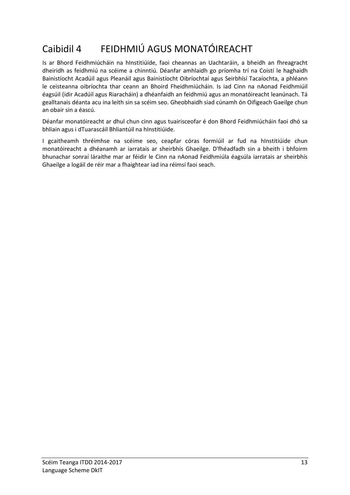### <span id="page-14-0"></span>Caibidil 4 FEIDHMIÚ AGUS MONATÓIREACHT

Is ar Bhord Feidhmiúcháin na hInstitiúíde, faoi cheannas an Uachtaráin, a bheidh an fhreagracht dheiridh as feidhmiú na scéime a chinntiú. Déanfar amhlaidh go príomha trí na Coistí le haghaidh Bainistíocht Acadúil agus Pleanáil agus Bainistíocht Oibríochtaí agus Seirbhísí Tacaíochta, a phléann le ceisteanna oibríochta thar ceann an Bhoird Fheidhmiúcháin. Is iad Cinn na nAonad Feidhmiúil éagsúil (idir Acadúil agus Riaracháin) a dhéanfaidh an feidhmiú agus an monatóireacht leanúnach. Tá gealltanais déanta acu ina leith sin sa scéim seo. Gheobhaidh siad cúnamh ón Oifigeach Gaeilge chun an obair sin a éascú.

Déanfar monatóireacht ar dhul chun cinn agus tuairisceofar é don Bhord Feidhmiúcháin faoi dhó sa bhliain agus i dTuarascáil Bhliantúil na hInstitiúide.

I gcaitheamh thréimhse na scéime seo, ceapfar córas formiúil ar fud na hInstitiúide chun monatóireacht a dhéanamh ar iarratais ar sheirbhís Ghaeilge. D'fhéadfadh sin a bheith i bhfoirm bhunachar sonraí láraithe mar ar féidir le Cinn na nAonad Feidhmiúla éagsúla iarratais ar sheirbhís Ghaeilge a logáil de réir mar a fhaightear iad ina réimsí faoi seach.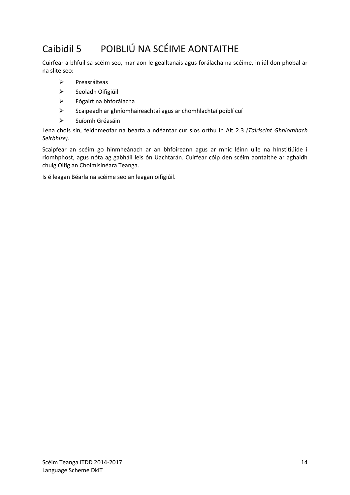## <span id="page-15-0"></span>Caibidil 5 POIBLIÚ NA SCÉIME AONTAITHE

Cuirfear a bhfuil sa scéim seo, mar aon le gealltanais agus forálacha na scéime, in iúl don phobal ar na slite seo:

- $\triangleright$  Preasráiteas
- > Seoladh Oifigiúil
- Fógairt na bhforálacha
- Scaipeadh ar ghníomhaireachtaí agus ar chomhlachtaí poiblí cuí
- $\triangleright$  Suíomh Gréasáin

Lena chois sin, feidhmeofar na bearta a ndéantar cur síos orthu in Alt [2.3](#page-8-0) *(Tairiscint Ghníomhach Seirbhíse).*

Scaipfear an scéim go hinmheánach ar an bhfoireann agus ar mhic léinn uile na hInstitiúide i ríomhphost, agus nóta ag gabháil leis ón Uachtarán. Cuirfear cóip den scéim aontaithe ar aghaidh chuig Oifig an Choimisinéara Teanga.

Is é leagan Béarla na scéime seo an leagan oifigiúil.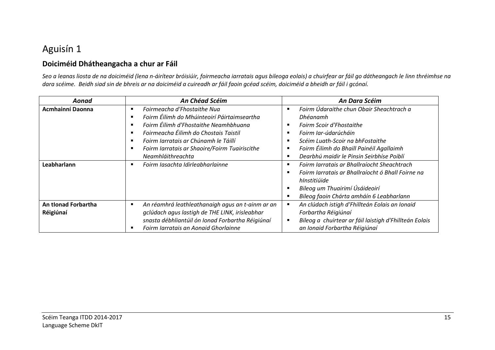### Aguisín 1

#### **Doiciméid Dhátheangacha a chur ar Fáil**

*Seo a leanas liosta de na doiciméid (lena n-áirítear bróisiúir, foirmeacha iarratais agus bileoga eolais) a chuirfear ar fáil go dátheangach le linn thréimhse na dara scéime. Beidh siad sin de bhreis ar na doiciméid a cuireadh ar fáil faoin gcéad scéim, doiciméid a bheidh ar fáil i gcónaí.* 

<span id="page-16-1"></span><span id="page-16-0"></span>

| Aonad                   | <b>An Chéad Scéim</b>                                 | An Dara Scéim                                                |
|-------------------------|-------------------------------------------------------|--------------------------------------------------------------|
| <b>Acmhainní Daonna</b> | Foirmeacha d'Fhostaithe Nua                           | Foirm Údaraithe chun Obair Sheachtrach a                     |
|                         | Foirm Éilimh do Mhúinteoirí Páirtaimseartha           | Dhéanamh                                                     |
|                         | Foirm Éilimh d'Fhostaithe Neamhbhuana                 | Foirm Scoir d'Fhostaithe<br>п                                |
|                         | Foirmeacha Éilimh do Chostais Taistil                 | Foirm Iar-údarúcháin<br>л                                    |
|                         | Foirm Iarratais ar Chúnamh le Táillí                  | Scéim Luath-Scoir na bhFostaithe<br>л                        |
|                         | Foirm Iarratais ar Shaoire/Foirm Tuairiscithe         | Foirm Éilimh do Bhaill Painéil Agallaimh                     |
|                         | Neamhláithreachta                                     | Dearbhú maidir le Pinsin Seirbhíse Poiblí                    |
| Leabharlann             | Foirm Iasachta Idirleabharlainne<br>п                 | Foirm Iarratais ar Bhallraíocht Sheachtrach<br>п             |
|                         |                                                       | Foirm Iarratais ar Bhallraíocht ó Bhall Foirne na            |
|                         |                                                       | hInstitiúide                                                 |
|                         |                                                       | Bileog um Thuairimí Úsáideoirí                               |
|                         |                                                       | Bileog faoin Chárta amháín 6 Leabharlann                     |
| An tionad Forbartha     | An réamhrá leathleathanaigh agus an t-ainm ar an<br>в | An clúdach istigh d'Fhillteán Eolais an Ionaid<br>J.         |
| Réigiúnaí               | gclúdach agus lastigh de THE LINK, irisleabhar        | Forbartha Réigiúnaí                                          |
|                         | snasta débhliantúil ón Ionad Forbartha Réigiúnaí      | Bileog a chuirtear ar fáil laistigh d'Fhillteán Eolais<br>п. |
|                         | Foirm Iarratais an Aonaid Ghorlainne                  | an Ionaid Forbartha Réigiúnaí                                |